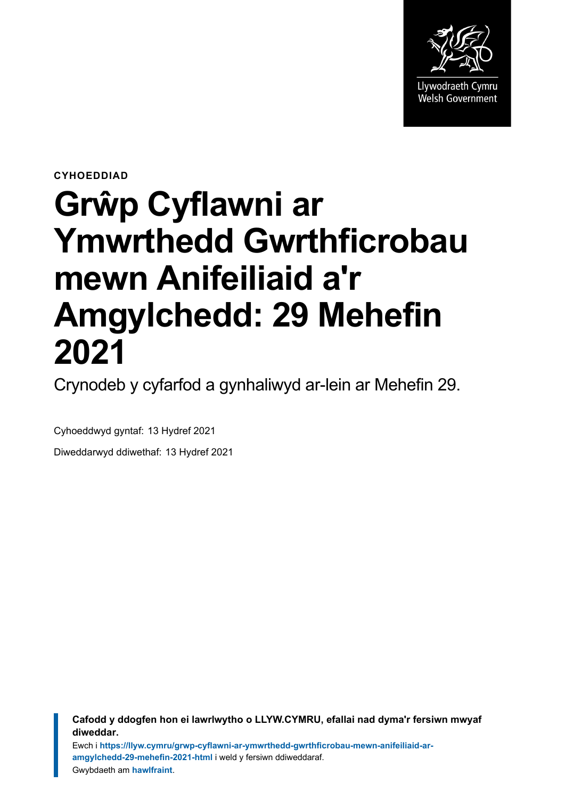

**CYHOEDDIAD**

# **Grŵp Cyflawni ar Ymwrthedd Gwrthficrobau mewn Anifeiliaid a'r Amgylchedd: 29 Mehefin 2021**

Crynodeb y cyfarfod a gynhaliwyd ar-lein ar Mehefin 29.

Cyhoeddwyd gyntaf: 13 Hydref 2021

Diweddarwyd ddiwethaf: 13 Hydref 2021

**Cafodd y ddogfen hon ei lawrlwytho o LLYW.CYMRU, efallai nad dyma'r fersiwn mwyaf diweddar.** Ewch i **[https://llyw.cymru/grwp-cyflawni-ar-ymwrthedd-gwrthficrobau-mewn-anifeiliaid-ar-](https://llyw.cymru/grwp-cyflawni-ar-ymwrthedd-gwrthficrobau-mewn-anifeiliaid-ar-amgylchedd-29-mehefin-2021-html)**

**[amgylchedd-29-mehefin-2021-html](https://llyw.cymru/grwp-cyflawni-ar-ymwrthedd-gwrthficrobau-mewn-anifeiliaid-ar-amgylchedd-29-mehefin-2021-html)** i weld y fersiwn ddiweddaraf.

Gwybdaeth am **[hawlfraint](https://llyw.cymru/datganiad-hawlfraint)**.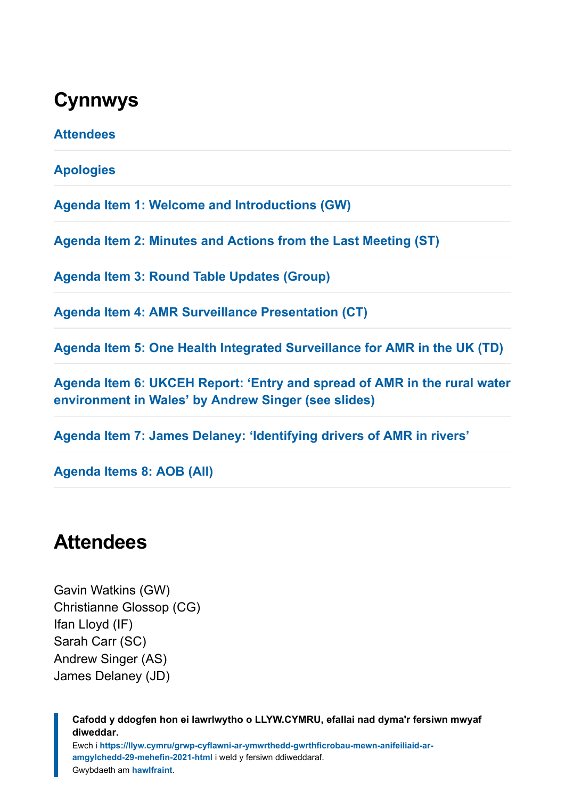#### **Cynnwys**

**[Attendees](#page-1-0)**

**[Apologies](#page-2-0)**

**[Agenda Item 1: Welcome and Introductions \(GW\)](#page-2-1)**

**[Agenda Item 2: Minutes and Actions from the Last Meeting \(ST\)](#page-2-2)**

**[Agenda Item 3: Round Table Updates \(Group\)](#page-3-0)**

**[Agenda Item 4: AMR Surveillance Presentation \(CT\)](#page-5-0)**

**[Agenda Item 5: One Health Integrated Surveillance for AMR in the UK \(TD\)](#page-6-0)**

**[Agenda Item 6: UKCEH Report: 'Entry and spread of AMR in the rural water](#page-7-0) [environment in Wales' by Andrew Singer \(see slides\)](#page-7-0)**

**[Agenda Item 7: James Delaney: 'Identifying drivers of AMR in rivers'](#page-7-1)**

**[Agenda Items 8: AOB \(All\)](#page-8-0)**

#### <span id="page-1-0"></span>**Attendees**

Gavin Watkins (GW) Christianne Glossop (CG) Ifan Lloyd (IF) Sarah Carr (SC) Andrew Singer (AS) James Delaney (JD)

> **Cafodd y ddogfen hon ei lawrlwytho o LLYW.CYMRU, efallai nad dyma'r fersiwn mwyaf diweddar.** Ewch i **[https://llyw.cymru/grwp-cyflawni-ar-ymwrthedd-gwrthficrobau-mewn-anifeiliaid-ar](https://llyw.cymru/grwp-cyflawni-ar-ymwrthedd-gwrthficrobau-mewn-anifeiliaid-ar-amgylchedd-29-mehefin-2021-html)[amgylchedd-29-mehefin-2021-html](https://llyw.cymru/grwp-cyflawni-ar-ymwrthedd-gwrthficrobau-mewn-anifeiliaid-ar-amgylchedd-29-mehefin-2021-html)** i weld y fersiwn ddiweddaraf. Gwybdaeth am **[hawlfraint](https://llyw.cymru/datganiad-hawlfraint)**.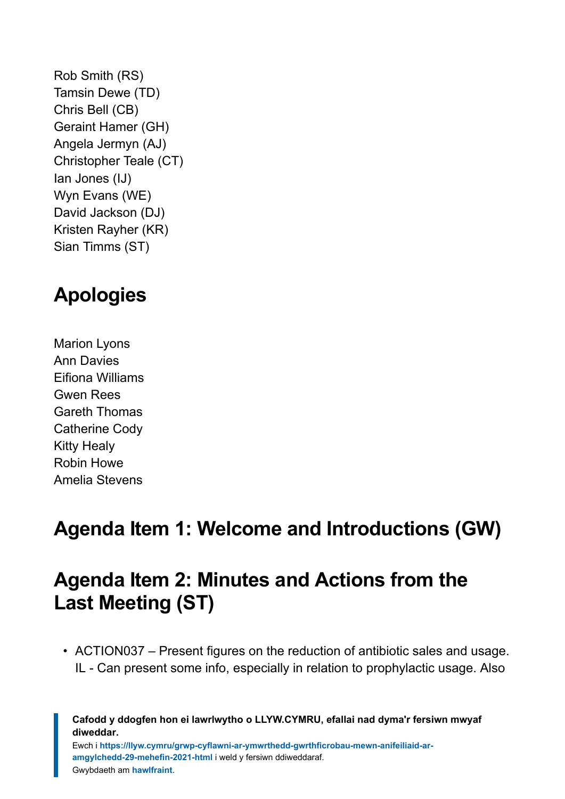Rob Smith (RS) Tamsin Dewe (TD) Chris Bell (CB) Geraint Hamer (GH) Angela Jermyn (AJ) Christopher Teale (CT) Ian Jones (IJ) Wyn Evans (WE) David Jackson (DJ) Kristen Rayher (KR) Sian Timms (ST)

#### <span id="page-2-0"></span>**Apologies**

Marion Lyons Ann Davies Eifiona Williams Gwen Rees Gareth Thomas Catherine Cody Kitty Healy Robin Howe Amelia Stevens

# <span id="page-2-1"></span>**Agenda Item 1: Welcome and Introductions (GW)**

### <span id="page-2-2"></span>**Agenda Item 2: Minutes and Actions from the Last Meeting (ST)**

• ACTION037 – Present figures on the reduction of antibiotic sales and usage. IL - Can present some info, especially in relation to prophylactic usage. Also

**Cafodd y ddogfen hon ei lawrlwytho o LLYW.CYMRU, efallai nad dyma'r fersiwn mwyaf diweddar.**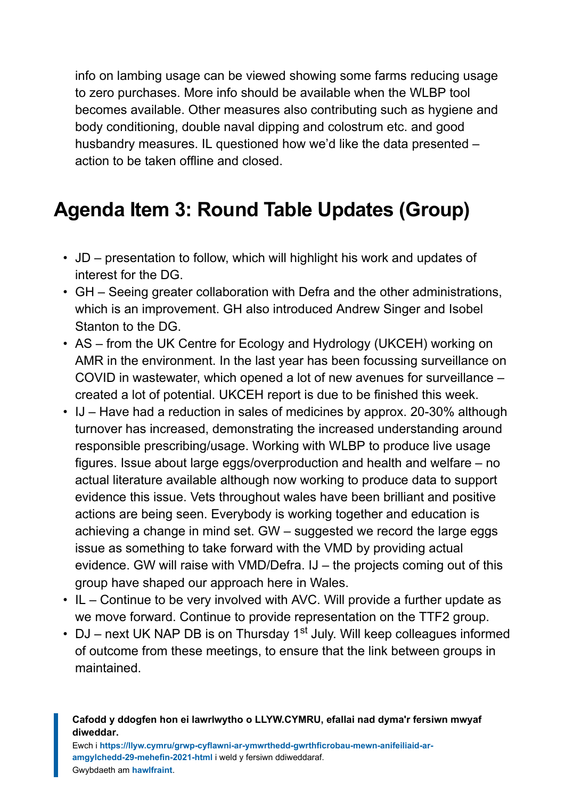info on lambing usage can be viewed showing some farms reducing usage to zero purchases. More info should be available when the WLBP tool becomes available. Other measures also contributing such as hygiene and body conditioning, double naval dipping and colostrum etc. and good husbandry measures. IL questioned how we'd like the data presented – action to be taken offline and closed.

# <span id="page-3-0"></span>**Agenda Item 3: Round Table Updates (Group)**

- JD presentation to follow, which will highlight his work and updates of interest for the DG.
- GH Seeing greater collaboration with Defra and the other administrations, which is an improvement. GH also introduced Andrew Singer and Isobel Stanton to the DG.
- AS from the UK Centre for Ecology and Hydrology (UKCEH) working on AMR in the environment. In the last year has been focussing surveillance on COVID in wastewater, which opened a lot of new avenues for surveillance – created a lot of potential. UKCEH report is due to be finished this week.
- IJ Have had a reduction in sales of medicines by approx. 20-30% although turnover has increased, demonstrating the increased understanding around responsible prescribing/usage. Working with WLBP to produce live usage figures. Issue about large eggs/overproduction and health and welfare – no actual literature available although now working to produce data to support evidence this issue. Vets throughout wales have been brilliant and positive actions are being seen. Everybody is working together and education is achieving a change in mind set. GW – suggested we record the large eggs issue as something to take forward with the VMD by providing actual evidence. GW will raise with VMD/Defra. IJ – the projects coming out of this group have shaped our approach here in Wales.
- IL Continue to be very involved with AVC. Will provide a further update as we move forward. Continue to provide representation on the TTF2 group.
- $DJ$  next UK NAP DB is on Thursday 1<sup>st</sup> July. Will keep colleagues informed of outcome from these meetings, to ensure that the link between groups in maintained.

#### **Cafodd y ddogfen hon ei lawrlwytho o LLYW.CYMRU, efallai nad dyma'r fersiwn mwyaf diweddar.**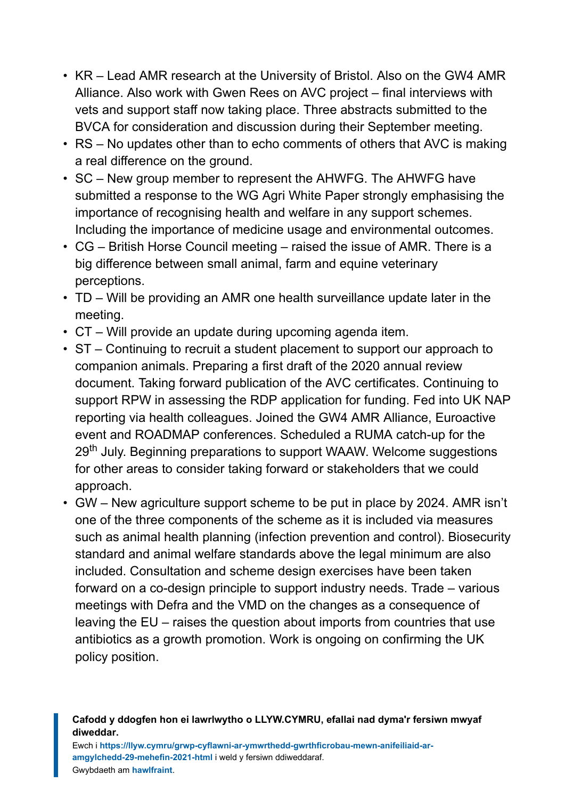- KR Lead AMR research at the University of Bristol. Also on the GW4 AMR Alliance. Also work with Gwen Rees on AVC project – final interviews with vets and support staff now taking place. Three abstracts submitted to the BVCA for consideration and discussion during their September meeting.
- RS No updates other than to echo comments of others that AVC is making a real difference on the ground.
- SC New group member to represent the AHWFG. The AHWFG have submitted a response to the WG Agri White Paper strongly emphasising the importance of recognising health and welfare in any support schemes. Including the importance of medicine usage and environmental outcomes.
- CG British Horse Council meeting raised the issue of AMR. There is a big difference between small animal, farm and equine veterinary perceptions.
- TD Will be providing an AMR one health surveillance update later in the meeting.
- CT Will provide an update during upcoming agenda item.
- ST Continuing to recruit a student placement to support our approach to companion animals. Preparing a first draft of the 2020 annual review document. Taking forward publication of the AVC certificates. Continuing to support RPW in assessing the RDP application for funding. Fed into UK NAP reporting via health colleagues. Joined the GW4 AMR Alliance, Euroactive event and ROADMAP conferences. Scheduled a RUMA catch-up for the 29<sup>th</sup> July. Beginning preparations to support WAAW. Welcome suggestions for other areas to consider taking forward or stakeholders that we could approach.
- GW New agriculture support scheme to be put in place by 2024. AMR isn't one of the three components of the scheme as it is included via measures such as animal health planning (infection prevention and control). Biosecurity standard and animal welfare standards above the legal minimum are also included. Consultation and scheme design exercises have been taken forward on a co-design principle to support industry needs. Trade – various meetings with Defra and the VMD on the changes as a consequence of leaving the EU – raises the question about imports from countries that use antibiotics as a growth promotion. Work is ongoing on confirming the UK policy position.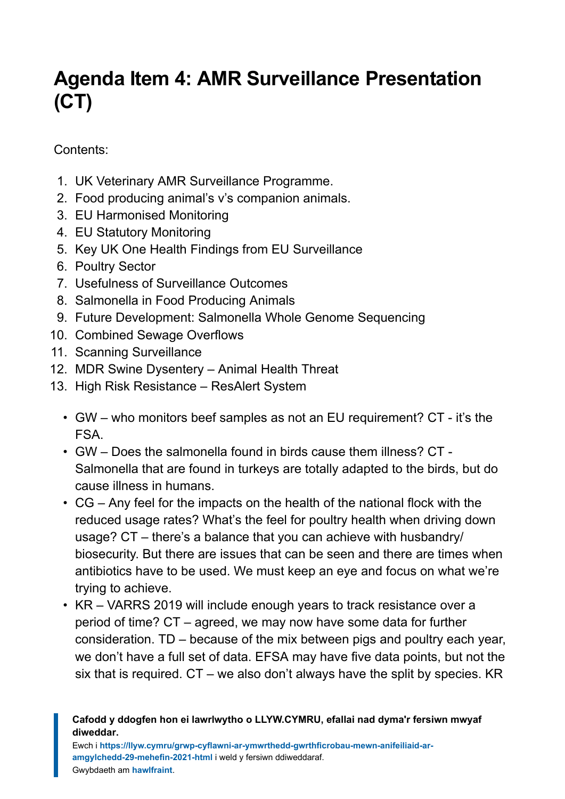# <span id="page-5-0"></span>**Agenda Item 4: AMR Surveillance Presentation (CT)**

Contents:

- 1. UK Veterinary AMR Surveillance Programme.
- 2. Food producing animal's v's companion animals.
- 3. EU Harmonised Monitoring
- 4. EU Statutory Monitoring
- 5. Key UK One Health Findings from EU Surveillance
- 6. Poultry Sector
- 7. Usefulness of Surveillance Outcomes
- 8. Salmonella in Food Producing Animals
- 9. Future Development: Salmonella Whole Genome Sequencing
- 10. Combined Sewage Overflows
- 11. Scanning Surveillance
- 12. MDR Swine Dysentery Animal Health Threat
- 13. High Risk Resistance ResAlert System
	- GW who monitors beef samples as not an EU requirement? CT it's the FSA.
	- GW Does the salmonella found in birds cause them illness? CT Salmonella that are found in turkeys are totally adapted to the birds, but do cause illness in humans.
	- CG Any feel for the impacts on the health of the national flock with the reduced usage rates? What's the feel for poultry health when driving down usage? CT – there's a balance that you can achieve with husbandry/ biosecurity. But there are issues that can be seen and there are times when antibiotics have to be used. We must keep an eye and focus on what we're trying to achieve.
	- KR VARRS 2019 will include enough years to track resistance over a period of time? CT – agreed, we may now have some data for further consideration. TD – because of the mix between pigs and poultry each year, we don't have a full set of data. EFSA may have five data points, but not the six that is required. CT – we also don't always have the split by species. KR

#### **Cafodd y ddogfen hon ei lawrlwytho o LLYW.CYMRU, efallai nad dyma'r fersiwn mwyaf diweddar.**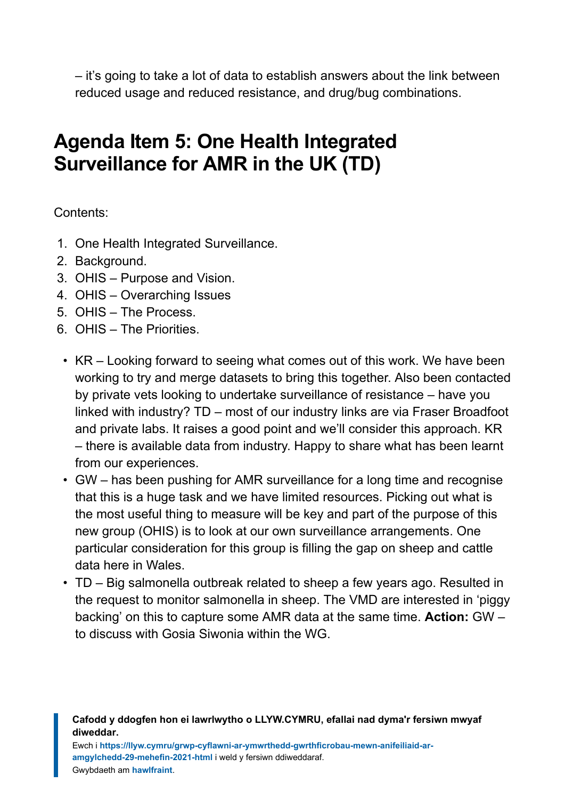– it's going to take a lot of data to establish answers about the link between reduced usage and reduced resistance, and drug/bug combinations.

# <span id="page-6-0"></span>**Agenda Item 5: One Health Integrated Surveillance for AMR in the UK (TD)**

Contents:

- 1. One Health Integrated Surveillance.
- 2. Background.
- 3. OHIS Purpose and Vision.
- 4. OHIS Overarching Issues
- 5. OHIS The Process.
- 6. OHIS The Priorities.
- KR Looking forward to seeing what comes out of this work. We have been working to try and merge datasets to bring this together. Also been contacted by private vets looking to undertake surveillance of resistance – have you linked with industry? TD – most of our industry links are via Fraser Broadfoot and private labs. It raises a good point and we'll consider this approach. KR – there is available data from industry. Happy to share what has been learnt from our experiences.
- GW has been pushing for AMR surveillance for a long time and recognise that this is a huge task and we have limited resources. Picking out what is the most useful thing to measure will be key and part of the purpose of this new group (OHIS) is to look at our own surveillance arrangements. One particular consideration for this group is filling the gap on sheep and cattle data here in Wales.
- TD Big salmonella outbreak related to sheep a few years ago. Resulted in the request to monitor salmonella in sheep. The VMD are interested in 'piggy backing' on this to capture some AMR data at the same time. **Action:** GW – to discuss with Gosia Siwonia within the WG.

**Cafodd y ddogfen hon ei lawrlwytho o LLYW.CYMRU, efallai nad dyma'r fersiwn mwyaf diweddar.**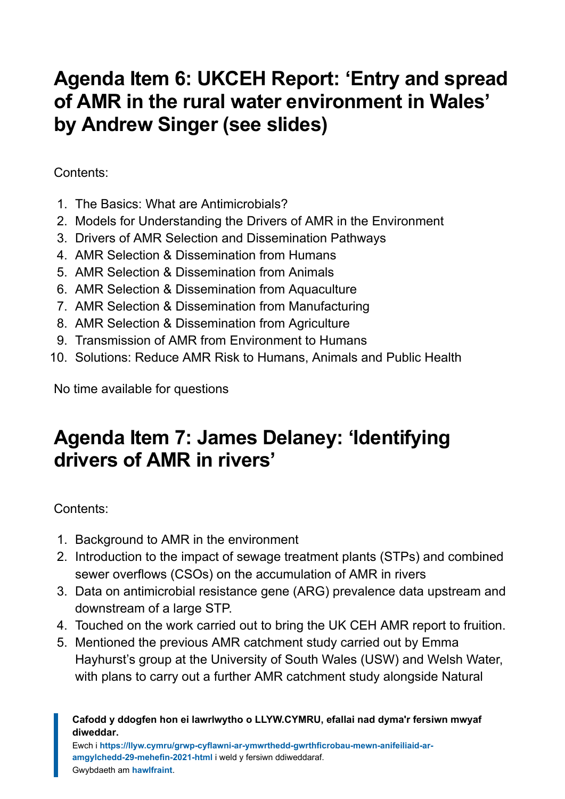# <span id="page-7-0"></span>**Agenda Item 6: UKCEH Report: 'Entry and spread of AMR in the rural water environment in Wales' by Andrew Singer (see slides)**

Contents:

- 1. The Basics: What are Antimicrobials?
- 2. Models for Understanding the Drivers of AMR in the Environment
- 3. Drivers of AMR Selection and Dissemination Pathways
- 4. AMR Selection & Dissemination from Humans
- 5. AMR Selection & Dissemination from Animals
- 6. AMR Selection & Dissemination from Aquaculture
- 7. AMR Selection & Dissemination from Manufacturing
- 8. AMR Selection & Dissemination from Agriculture
- 9. Transmission of AMR from Environment to Humans
- 10. Solutions: Reduce AMR Risk to Humans, Animals and Public Health

No time available for questions

# <span id="page-7-1"></span>**Agenda Item 7: James Delaney: 'Identifying drivers of AMR in rivers'**

Contents:

- 1. Background to AMR in the environment
- 2. Introduction to the impact of sewage treatment plants (STPs) and combined sewer overflows (CSOs) on the accumulation of AMR in rivers
- 3. Data on antimicrobial resistance gene (ARG) prevalence data upstream and downstream of a large STP.
- 4. Touched on the work carried out to bring the UK CEH AMR report to fruition.
- 5. Mentioned the previous AMR catchment study carried out by Emma Hayhurst's group at the University of South Wales (USW) and Welsh Water, with plans to carry out a further AMR catchment study alongside Natural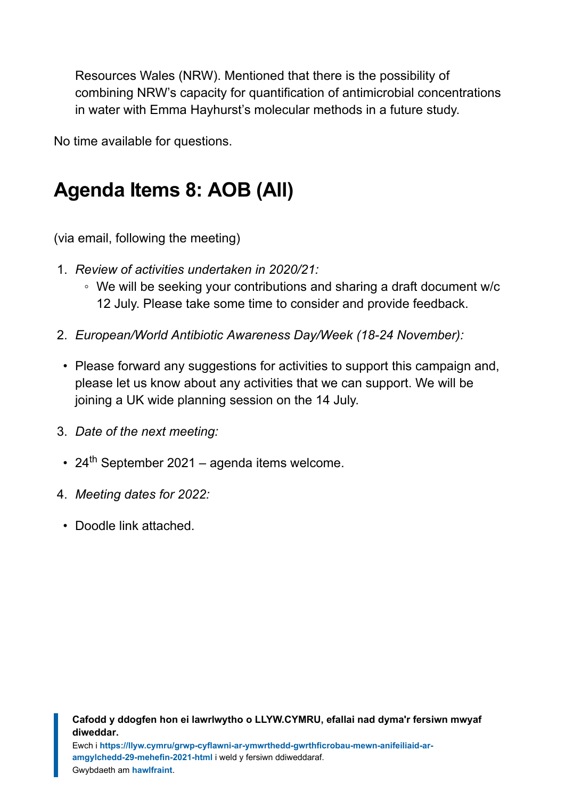Resources Wales (NRW). Mentioned that there is the possibility of combining NRW's capacity for quantification of antimicrobial concentrations in water with Emma Hayhurst's molecular methods in a future study.

No time available for questions.

# <span id="page-8-0"></span>**Agenda Items 8: AOB (All)**

(via email, following the meeting)

- 1. *Review of activities undertaken in 2020/21:*
	- We will be seeking your contributions and sharing a draft document w/c 12 July. Please take some time to consider and provide feedback.
- 2. *European/World Antibiotic Awareness Day/Week (18-24 November):*
- Please forward any suggestions for activities to support this campaign and, please let us know about any activities that we can support. We will be joining a UK wide planning session on the 14 July.
- 3. *Date of the next meeting:*
- 24<sup>th</sup> September 2021 agenda items welcome.
- 4. *Meeting dates for 2022:*
- Doodle link attached.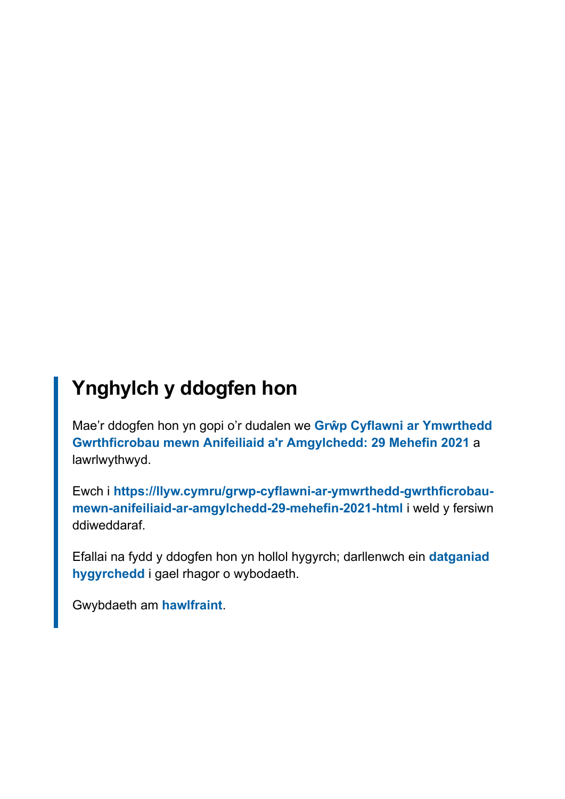# **Ynghylch y ddogfen hon**

Mae'r ddogfen hon yn gopi o'r dudalen we **[Grŵp Cyflawni ar Ymwrthedd](https://llyw.cymru/grwp-cyflawni-ar-ymwrthedd-gwrthficrobau-mewn-anifeiliaid-ar-amgylchedd-29-mehefin-2021-html) [Gwrthficrobau mewn Anifeiliaid a'r Amgylchedd: 29 Mehefin 2021](https://llyw.cymru/grwp-cyflawni-ar-ymwrthedd-gwrthficrobau-mewn-anifeiliaid-ar-amgylchedd-29-mehefin-2021-html)** a lawrlwythwyd.

Ewch i **[https://llyw.cymru/grwp-cyflawni-ar-ymwrthedd-gwrthficrobau](https://llyw.cymru/grwp-cyflawni-ar-ymwrthedd-gwrthficrobau-mewn-anifeiliaid-ar-amgylchedd-29-mehefin-2021-html)[mewn-anifeiliaid-ar-amgylchedd-29-mehefin-2021-html](https://llyw.cymru/grwp-cyflawni-ar-ymwrthedd-gwrthficrobau-mewn-anifeiliaid-ar-amgylchedd-29-mehefin-2021-html)** i weld y fersiwn ddiweddaraf.

Efallai na fydd y ddogfen hon yn hollol hygyrch; darllenwch ein **[datganiad](https://llyw.cymru/datganiad-hygyrchedd-llywcymru) [hygyrchedd](https://llyw.cymru/datganiad-hygyrchedd-llywcymru)** i gael rhagor o wybodaeth.

Gwybdaeth am **[hawlfraint](https://llyw.cymru/datganiad-hawlfraint)**.